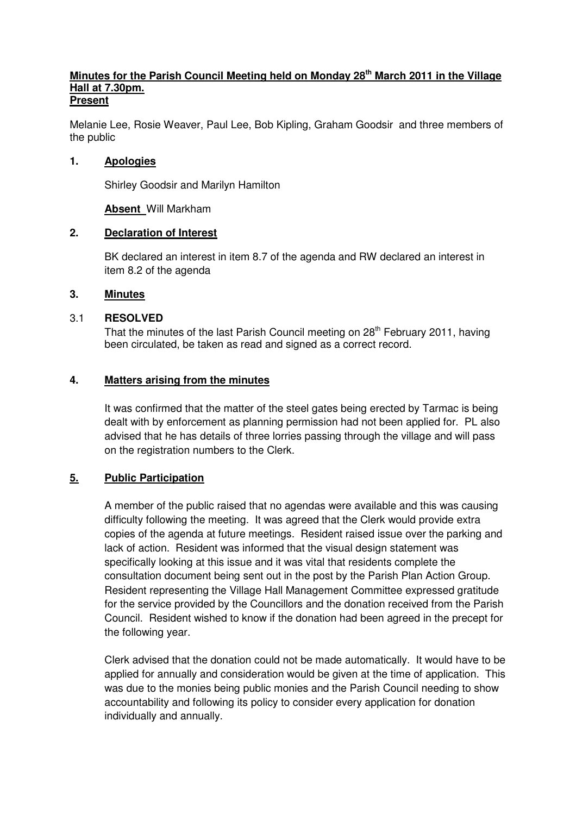#### **Minutes for the Parish Council Meeting held on Monday 28th March 2011 in the Village Hall at 7.30pm. Present**

Melanie Lee, Rosie Weaver, Paul Lee, Bob Kipling, Graham Goodsir and three members of the public

### **1. Apologies**

Shirley Goodsir and Marilyn Hamilton

### **Absent** Will Markham

### **2. Declaration of Interest**

 BK declared an interest in item 8.7 of the agenda and RW declared an interest in item 8.2 of the agenda

### **3. Minutes**

### 3.1 **RESOLVED**

That the minutes of the last Parish Council meeting on 28<sup>th</sup> February 2011, having been circulated, be taken as read and signed as a correct record.

### **4. Matters arising from the minutes**

 It was confirmed that the matter of the steel gates being erected by Tarmac is being dealt with by enforcement as planning permission had not been applied for. PL also advised that he has details of three lorries passing through the village and will pass on the registration numbers to the Clerk.

## **5. Public Participation**

 A member of the public raised that no agendas were available and this was causing difficulty following the meeting. It was agreed that the Clerk would provide extra copies of the agenda at future meetings. Resident raised issue over the parking and lack of action. Resident was informed that the visual design statement was specifically looking at this issue and it was vital that residents complete the consultation document being sent out in the post by the Parish Plan Action Group. Resident representing the Village Hall Management Committee expressed gratitude for the service provided by the Councillors and the donation received from the Parish Council. Resident wished to know if the donation had been agreed in the precept for the following year.

 Clerk advised that the donation could not be made automatically. It would have to be applied for annually and consideration would be given at the time of application. This was due to the monies being public monies and the Parish Council needing to show accountability and following its policy to consider every application for donation individually and annually.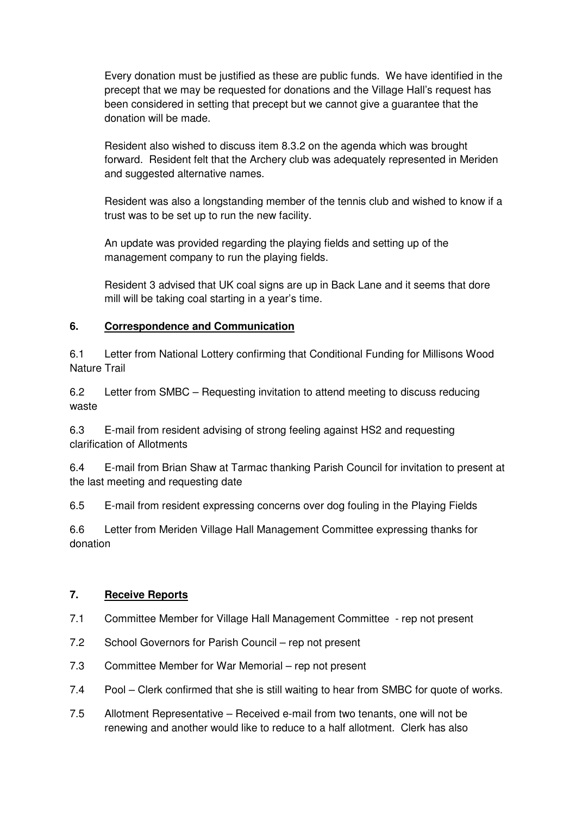Every donation must be justified as these are public funds. We have identified in the precept that we may be requested for donations and the Village Hall's request has been considered in setting that precept but we cannot give a guarantee that the donation will be made.

 Resident also wished to discuss item 8.3.2 on the agenda which was brought forward. Resident felt that the Archery club was adequately represented in Meriden and suggested alternative names.

 Resident was also a longstanding member of the tennis club and wished to know if a trust was to be set up to run the new facility.

 An update was provided regarding the playing fields and setting up of the management company to run the playing fields.

 Resident 3 advised that UK coal signs are up in Back Lane and it seems that dore mill will be taking coal starting in a year's time.

### **6. Correspondence and Communication**

6.1 Letter from National Lottery confirming that Conditional Funding for Millisons Wood Nature Trail

6.2 Letter from SMBC – Requesting invitation to attend meeting to discuss reducing waste

6.3 E-mail from resident advising of strong feeling against HS2 and requesting clarification of Allotments

6.4 E-mail from Brian Shaw at Tarmac thanking Parish Council for invitation to present at the last meeting and requesting date

6.5 E-mail from resident expressing concerns over dog fouling in the Playing Fields

6.6 Letter from Meriden Village Hall Management Committee expressing thanks for donation

## **7. Receive Reports**

- 7.1 Committee Member for Village Hall Management Committee rep not present
- 7.2 School Governors for Parish Council rep not present
- 7.3 Committee Member for War Memorial rep not present
- 7.4 Pool Clerk confirmed that she is still waiting to hear from SMBC for quote of works.
- 7.5 Allotment Representative Received e-mail from two tenants, one will not be renewing and another would like to reduce to a half allotment. Clerk has also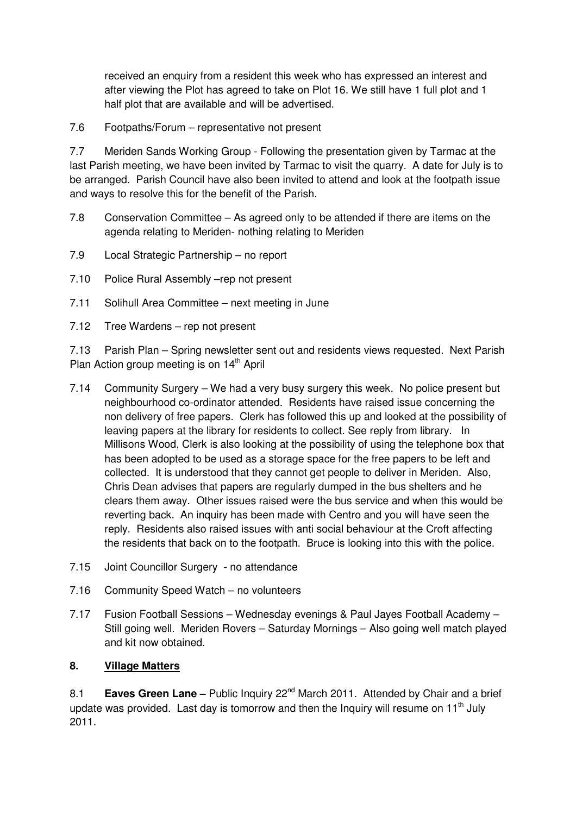received an enquiry from a resident this week who has expressed an interest and after viewing the Plot has agreed to take on Plot 16. We still have 1 full plot and 1 half plot that are available and will be advertised.

7.6 Footpaths/Forum – representative not present

7.7 Meriden Sands Working Group - Following the presentation given by Tarmac at the last Parish meeting, we have been invited by Tarmac to visit the quarry. A date for July is to be arranged. Parish Council have also been invited to attend and look at the footpath issue and ways to resolve this for the benefit of the Parish.

- 7.8 Conservation Committee As agreed only to be attended if there are items on the agenda relating to Meriden- nothing relating to Meriden
- 7.9 Local Strategic Partnership no report
- 7.10 Police Rural Assembly –rep not present
- 7.11 Solihull Area Committee next meeting in June
- 7.12 Tree Wardens rep not present

7.13 Parish Plan – Spring newsletter sent out and residents views requested. Next Parish Plan Action group meeting is on  $14<sup>th</sup>$  April

- 7.14 Community Surgery We had a very busy surgery this week. No police present but neighbourhood co-ordinator attended. Residents have raised issue concerning the non delivery of free papers. Clerk has followed this up and looked at the possibility of leaving papers at the library for residents to collect. See reply from library. In Millisons Wood, Clerk is also looking at the possibility of using the telephone box that has been adopted to be used as a storage space for the free papers to be left and collected. It is understood that they cannot get people to deliver in Meriden. Also, Chris Dean advises that papers are regularly dumped in the bus shelters and he clears them away. Other issues raised were the bus service and when this would be reverting back. An inquiry has been made with Centro and you will have seen the reply. Residents also raised issues with anti social behaviour at the Croft affecting the residents that back on to the footpath. Bruce is looking into this with the police.
- 7.15 Joint Councillor Surgery no attendance
- 7.16 Community Speed Watch no volunteers
- 7.17 Fusion Football Sessions Wednesday evenings & Paul Jayes Football Academy Still going well. Meriden Rovers – Saturday Mornings – Also going well match played and kit now obtained.

## **8. Village Matters**

8.1 **Eaves Green Lane** – Public Inquiry 22<sup>nd</sup> March 2011. Attended by Chair and a brief update was provided. Last day is tomorrow and then the Inquiry will resume on 11<sup>th</sup> July 2011.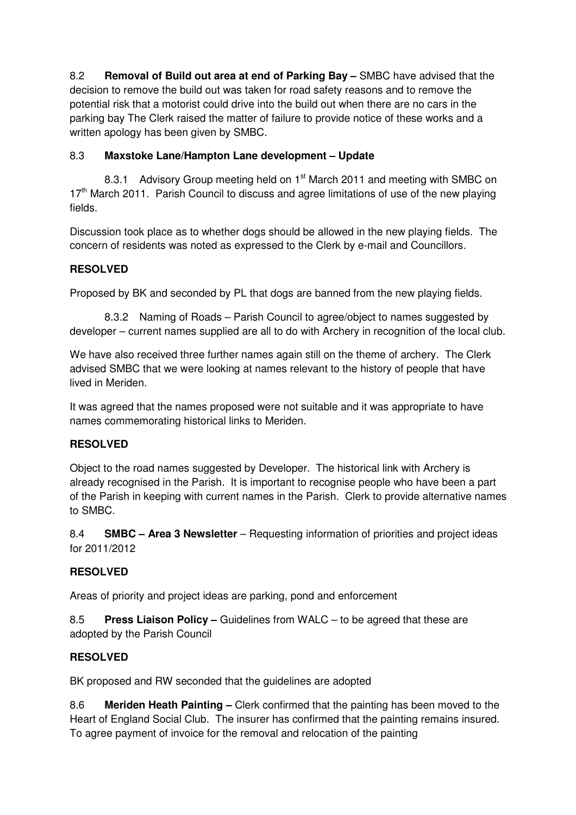8.2 **Removal of Build out area at end of Parking Bay –** SMBC have advised that the decision to remove the build out was taken for road safety reasons and to remove the potential risk that a motorist could drive into the build out when there are no cars in the parking bay The Clerk raised the matter of failure to provide notice of these works and a written apology has been given by SMBC.

# 8.3 **Maxstoke Lane/Hampton Lane development – Update**

8.3.1 Advisory Group meeting held on 1<sup>st</sup> March 2011 and meeting with SMBC on 17<sup>th</sup> March 2011. Parish Council to discuss and agree limitations of use of the new playing fields.

Discussion took place as to whether dogs should be allowed in the new playing fields. The concern of residents was noted as expressed to the Clerk by e-mail and Councillors.

## **RESOLVED**

Proposed by BK and seconded by PL that dogs are banned from the new playing fields.

 8.3.2 Naming of Roads – Parish Council to agree/object to names suggested by developer – current names supplied are all to do with Archery in recognition of the local club.

We have also received three further names again still on the theme of archery. The Clerk advised SMBC that we were looking at names relevant to the history of people that have lived in Meriden.

It was agreed that the names proposed were not suitable and it was appropriate to have names commemorating historical links to Meriden.

## **RESOLVED**

Object to the road names suggested by Developer. The historical link with Archery is already recognised in the Parish. It is important to recognise people who have been a part of the Parish in keeping with current names in the Parish. Clerk to provide alternative names to SMBC.

8.4 **SMBC – Area 3 Newsletter** – Requesting information of priorities and project ideas for 2011/2012

# **RESOLVED**

Areas of priority and project ideas are parking, pond and enforcement

8.5 **Press Liaison Policy –** Guidelines from WALC – to be agreed that these are adopted by the Parish Council

# **RESOLVED**

BK proposed and RW seconded that the guidelines are adopted

8.6 **Meriden Heath Painting –** Clerk confirmed that the painting has been moved to the Heart of England Social Club. The insurer has confirmed that the painting remains insured. To agree payment of invoice for the removal and relocation of the painting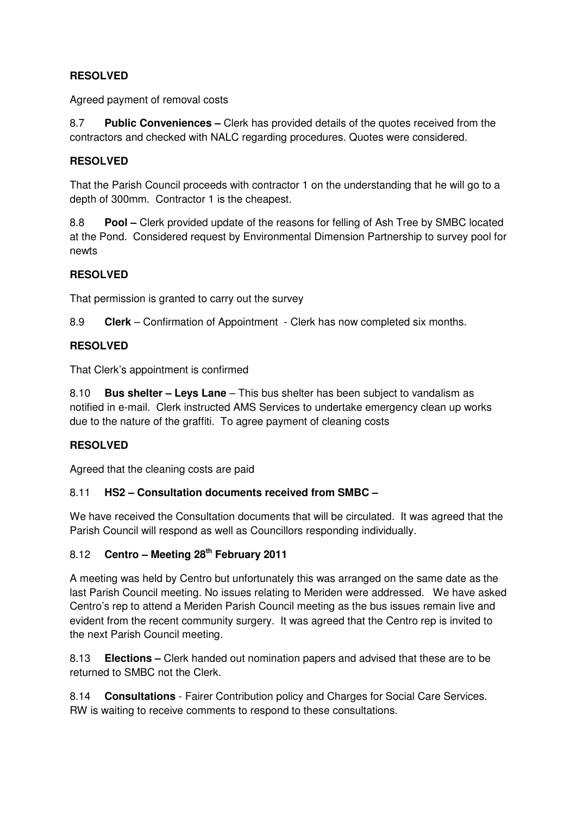# **RESOLVED**

Agreed payment of removal costs

8.7 **Public Conveniences –** Clerk has provided details of the quotes received from the contractors and checked with NALC regarding procedures. Quotes were considered.

## **RESOLVED**

That the Parish Council proceeds with contractor 1 on the understanding that he will go to a depth of 300mm. Contractor 1 is the cheapest.

8.8 **Pool –** Clerk provided update of the reasons for felling of Ash Tree by SMBC located at the Pond. Considered request by Environmental Dimension Partnership to survey pool for newts

## **RESOLVED**

That permission is granted to carry out the survey

8.9 **Clerk** – Confirmation of Appointment - Clerk has now completed six months.

### **RESOLVED**

That Clerk's appointment is confirmed

8.10 **Bus shelter – Leys Lane** – This bus shelter has been subject to vandalism as notified in e-mail. Clerk instructed AMS Services to undertake emergency clean up works due to the nature of the graffiti. To agree payment of cleaning costs

#### **RESOLVED**

Agreed that the cleaning costs are paid

#### 8.11 **HS2 – Consultation documents received from SMBC –**

We have received the Consultation documents that will be circulated. It was agreed that the Parish Council will respond as well as Councillors responding individually.

# 8.12 **Centro – Meeting 28th February 2011**

A meeting was held by Centro but unfortunately this was arranged on the same date as the last Parish Council meeting. No issues relating to Meriden were addressed. We have asked Centro's rep to attend a Meriden Parish Council meeting as the bus issues remain live and evident from the recent community surgery. It was agreed that the Centro rep is invited to the next Parish Council meeting.

8.13 **Elections –** Clerk handed out nomination papers and advised that these are to be returned to SMBC not the Clerk.

8.14 **Consultations** - Fairer Contribution policy and Charges for Social Care Services. RW is waiting to receive comments to respond to these consultations.